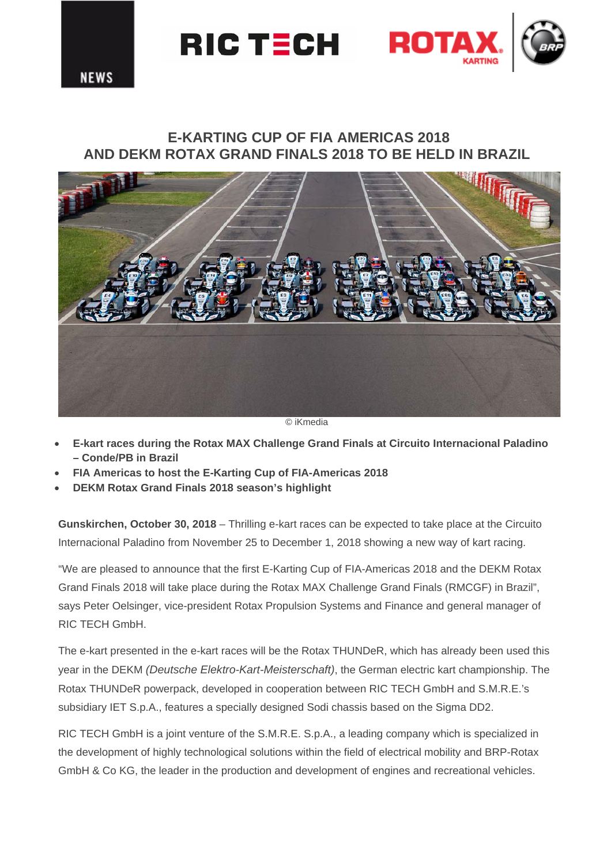

# **E-KARTING CUP OF FIA AMERICAS 2018 AND DEKM ROTAX GRAND FINALS 2018 TO BE HELD IN BRAZIL**



© iKmedia

- **E-kart races during the Rotax MAX Challenge Grand Finals at Circuito Internacional Paladino – Conde/PB in Brazil**
- **FIA Americas to host the E-Karting Cup of FIA-Americas 2018**
- **DEKM Rotax Grand Finals 2018 season's highlight**

**Gunskirchen, October 30, 2018** – Thrilling e-kart races can be expected to take place at the Circuito Internacional Paladino from November 25 to December 1, 2018 showing a new way of kart racing.

"We are pleased to announce that the first E-Karting Cup of FIA-Americas 2018 and the DEKM Rotax Grand Finals 2018 will take place during the Rotax MAX Challenge Grand Finals (RMCGF) in Brazil", says Peter Oelsinger, vice-president Rotax Propulsion Systems and Finance and general manager of RIC TECH GmbH.

The e-kart presented in the e-kart races will be the Rotax THUNDeR, which has already been used this year in the DEKM *(Deutsche Elektro-Kart-Meisterschaft)*, the German electric kart championship. The Rotax THUNDeR powerpack, developed in cooperation between RIC TECH GmbH and S.M.R.E.'s subsidiary IET S.p.A., features a specially designed Sodi chassis based on the Sigma DD2.

RIC TECH GmbH is a joint venture of the S.M.R.E. S.p.A., a leading company which is specialized in the development of highly technological solutions within the field of electrical mobility and BRP-Rotax GmbH & Co KG, the leader in the production and development of engines and recreational vehicles.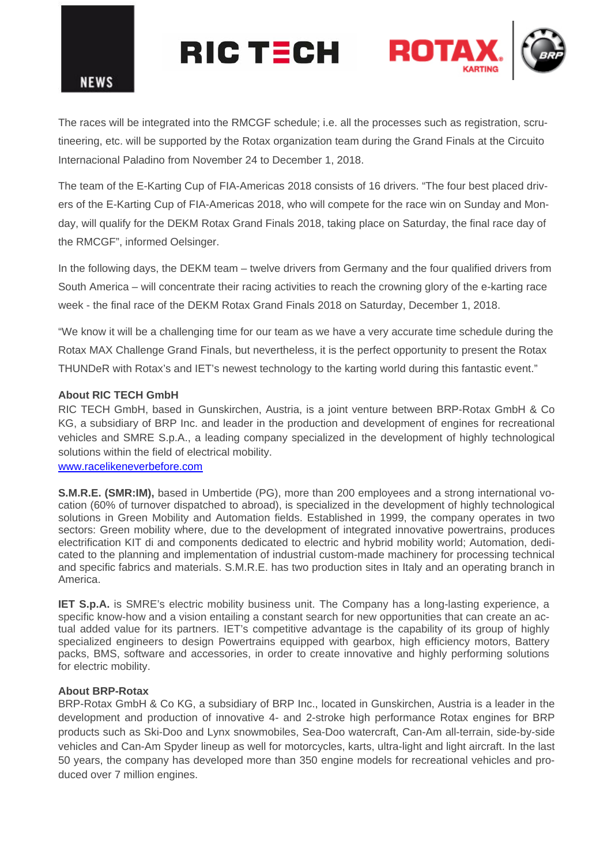

# **ROTA** RIC TECH

The races will be integrated into the RMCGF schedule; i.e. all the processes such as registration, scrutineering, etc. will be supported by the Rotax organization team during the Grand Finals at the Circuito Internacional Paladino from November 24 to December 1, 2018.

The team of the E-Karting Cup of FIA-Americas 2018 consists of 16 drivers. "The four best placed drivers of the E-Karting Cup of FIA-Americas 2018, who will compete for the race win on Sunday and Monday, will qualify for the DEKM Rotax Grand Finals 2018, taking place on Saturday, the final race day of the RMCGF", informed Oelsinger.

In the following days, the DEKM team – twelve drivers from Germany and the four qualified drivers from South America – will concentrate their racing activities to reach the crowning glory of the e-karting race week - the final race of the DEKM Rotax Grand Finals 2018 on Saturday, December 1, 2018.

"We know it will be a challenging time for our team as we have a very accurate time schedule during the Rotax MAX Challenge Grand Finals, but nevertheless, it is the perfect opportunity to present the Rotax THUNDeR with Rotax's and IET's newest technology to the karting world during this fantastic event."

# **About RIC TECH GmbH**

RIC TECH GmbH, based in Gunskirchen, Austria, is a joint venture between BRP-Rotax GmbH & Co KG, a subsidiary of BRP Inc. and leader in the production and development of engines for recreational vehicles and SMRE S.p.A., a leading company specialized in the development of highly technological solutions within the field of electrical mobility.

# www.racelikeneverbefore.com

**S.M.R.E. (SMR:IM),** based in Umbertide (PG), more than 200 employees and a strong international vocation (60% of turnover dispatched to abroad), is specialized in the development of highly technological solutions in Green Mobility and Automation fields. Established in 1999, the company operates in two sectors: Green mobility where, due to the development of integrated innovative powertrains, produces electrification KIT di and components dedicated to electric and hybrid mobility world; Automation, dedicated to the planning and implementation of industrial custom-made machinery for processing technical and specific fabrics and materials. S.M.R.E. has two production sites in Italy and an operating branch in America.

**IET S.p.A.** is SMRE's electric mobility business unit. The Company has a long-lasting experience, a specific know-how and a vision entailing a constant search for new opportunities that can create an actual added value for its partners. IET's competitive advantage is the capability of its group of highly specialized engineers to design Powertrains equipped with gearbox, high efficiency motors, Battery packs, BMS, software and accessories, in order to create innovative and highly performing solutions for electric mobility.

#### **About BRP-Rotax**

BRP-Rotax GmbH & Co KG, a subsidiary of BRP Inc., located in Gunskirchen, Austria is a leader in the development and production of innovative 4- and 2-stroke high performance Rotax engines for BRP products such as Ski-Doo and Lynx snowmobiles, Sea-Doo watercraft, Can-Am all-terrain, side-by-side vehicles and Can-Am Spyder lineup as well for motorcycles, karts, ultra-light and light aircraft. In the last 50 years, the company has developed more than 350 engine models for recreational vehicles and produced over 7 million engines.